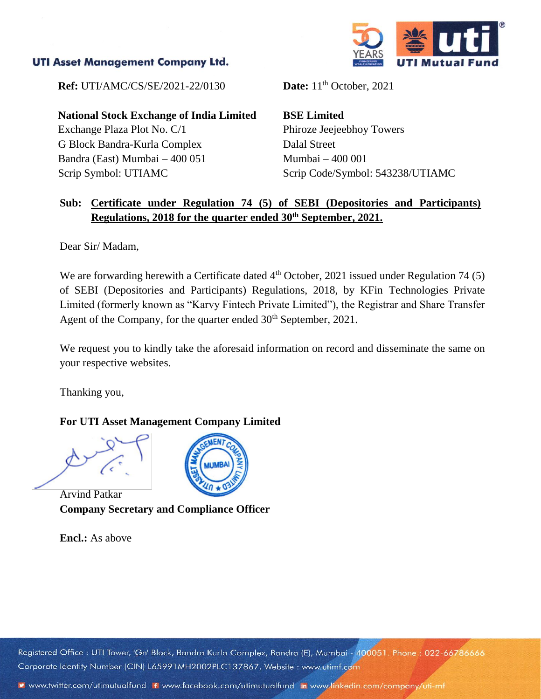## **UTI Asset Management Company Ltd.**



**Ref:** UTI/AMC/CS/SE/2021-22/0130 **Date:** 11<sup>th</sup> October, 2021

**National Stock Exchange of India Limited** Exchange Plaza Plot No. C/1 G Block Bandra-Kurla Complex Bandra (East) Mumbai – 400 051 Scrip Symbol: UTIAMC

**BSE Limited** Phiroze Jeejeebhoy Towers Dalal Street Mumbai – 400 001 Scrip Code/Symbol: 543238/UTIAMC

## **Sub: Certificate under Regulation 74 (5) of SEBI (Depositories and Participants) Regulations, 2018 for the quarter ended 30th September, 2021.**

Dear Sir/ Madam,

We are forwarding herewith a Certificate dated  $4<sup>th</sup>$  October, 2021 issued under Regulation 74 (5) of SEBI (Depositories and Participants) Regulations, 2018, by KFin Technologies Private Limited (formerly known as "Karvy Fintech Private Limited"), the Registrar and Share Transfer Agent of the Company, for the quarter ended 30<sup>th</sup> September, 2021.

We request you to kindly take the aforesaid information on record and disseminate the same on your respective websites.

Thanking you,

## **For UTI Asset Management Company Limited**

Arvind Patkar **Company Secretary and Compliance Officer**

**Encl.:** As above



Registered Office: UTI Tower, 'Gn' Block, Bandra Kurla Complex, Bandra (E), Mumbai - 400051. Phone: 022-66786666 Corporate Identity Number (CIN) L65991MH2002PLC137867, Website: www.utimf.com

v www.twitter.com/utimutualfund F www.facebook.com/utimutualfund in www.linkedin.com/company/uti-mf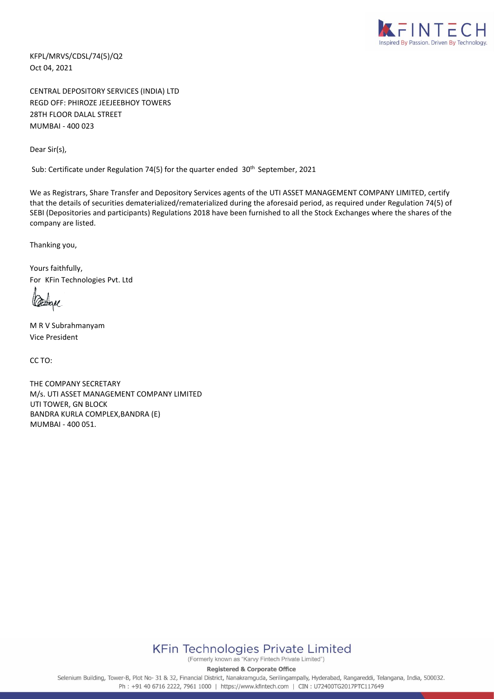

KFPL/MRVS/CDSL/74(5)/Q2 Oct 04, 2021

CENTRAL DEPOSITORY SERVICES (INDIA) LTD REGD OFF: PHIROZE JEEJEEBHOY TOWERS 28TH FLOOR DALAL STREET MUMBAI - 400 023

Dear Sir(s),

Sub: Certificate under Regulation 74(5) for the quarter ended 30<sup>th</sup> September, 2021

We as Registrars, Share Transfer and Depository Services agents of the UTI ASSET MANAGEMENT COMPANY LIMITED, certify that the details of securities dematerialized/rematerialized during the aforesaid period, as required under Regulation 74(5) of SEBI (Depositories and participants) Regulations 2018 have been furnished to all the Stock Exchanges where the shares of the company are listed.

Thanking you,

Yours faithfully, For KFin Technologies Pvt. Ltd

M R V Subrahmanyam Vice President

CC TO:

THE COMPANY SECRETARY M/s. UTI ASSET MANAGEMENT COMPANY LIMITED UTI TOWER, GN BLOCK BANDRA KURLA COMPLEX,BANDRA (E) MUMBAI - 400 051.



(Formerly known as "Karvy Fintech Private Limited")

**Registered & Corporate Office** 

Selenium Building, Tower-B, Plot No- 31 & 32, Financial District, Nanakramguda, Serilingampally, Hyderabad, Rangareddi, Telangana, India, 500032. Ph: +91 40 6716 2222, 7961 1000 | https://www.kfintech.com | CIN: U72400TG2017PTC117649